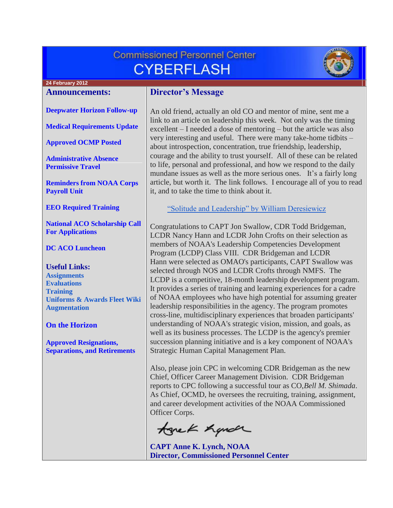# **Commissioned Personnel Center CYBERFLASH**



# **24 February 2012**

#### **Announcements:**

#### **[Deepwater Horizon Follow-up](#page-1-0)**

**[Medical Requirements Update](#page-1-1)**

**[Approved OCMP Posted](#page-1-2)**

**[Administrative Absence](#page-1-3)  [Permissive Travel](#page-1-3)**

**[Reminders from NOAA Corps](#page-2-0)  [Payroll Unit](#page-2-0)**

**[EEO Required Training](#page-2-1)**

**[National ACO Scholarship Call](#page-2-2)  [For Applications](#page-2-2)**

#### **[DC ACO Luncheon](#page-3-0)**

**Useful Links: [Assignments](http://www.corpscpc.noaa.gov/careermgmt/assignments.html) [Evaluations](http://www.corpscpc.noaa.gov/careermgmt/evaluation.html) [Training](http://www.corpscpc.noaa.gov/careermgmt/training.html) [Uniforms & Awards](http://www.corpscpc.noaa.gov/perservices/awards.html) [Fleet Wiki](https://www.st.nmfs.noaa.gov/confluence/display/FleetWiki/Home) [Augmentation](http://www.corpscpc.noaa.gov/cpchome/augmentation.html)**

#### **[On the Horizon](#page-3-1)**

**[Approved Resignations,](#page-3-2)  [Separations, and Retirements](#page-3-2)**

# **Director's Message**

An old friend, actually an old CO and mentor of mine, sent me a link to an article on leadership this week. Not only was the timing excellent – I needed a dose of mentoring – but the article was also very interesting and useful. There were many take-home tidbits – about introspection, concentration, true friendship, leadership, courage and the ability to trust yourself. All of these can be related to life, personal and professional, and how we respond to the daily mundane issues as well as the more serious ones. It's a fairly long article, but worth it. The link follows. I encourage all of you to read it, and to take the time to think about it.

["Solitude and Leadership" by William Deresiewicz](http://theamericanscholar.org/solitude-and-leadership/)

Congratulations to CAPT Jon Swallow, CDR Todd Bridgeman, LCDR Nancy Hann and LCDR John Crofts on their selection as members of NOAA's Leadership Competencies Development Program (LCDP) Class VIII. CDR Bridgeman and LCDR Hann were selected as OMAO's participants, CAPT Swallow was selected through NOS and LCDR Crofts through NMFS. The LCDP is a competitive, 18-month leadership development program. It provides a series of training and learning experiences for a cadre of NOAA employees who have high potential for assuming greater leadership responsibilities in the agency. The program promotes cross-line, multidisciplinary experiences that broaden participants' understanding of NOAA's strategic vision, mission, and goals, as well as its business processes. The LCDP is the agency's premier succession planning initiative and is a key component of NOAA's Strategic Human Capital Management Plan.

Also, please join CPC in welcoming CDR Bridgeman as the new Chief, Officer Career Management Division. CDR Bridgeman reports to CPC following a successful tour as CO,*Bell M. Shimada*. As Chief, OCMD, he oversees the recruiting, training, assignment, and career development activities of the NOAA Commissioned Officer Corps.

tonek hande

**CAPT Anne K. Lynch, NOAA Director, Commissioned Personnel Center**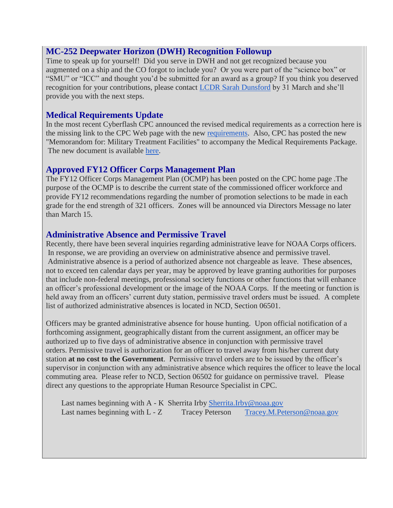#### <span id="page-1-0"></span>**MC-252 Deepwater Horizon (DWH) Recognition Followup**

Time to speak up for yourself! Did you serve in DWH and not get recognized because you augmented on a ship and the CO forgot to include you? Or you were part of the "science box" or "SMU" or "ICC" and thought you'd be submitted for an award as a group? If you think you deserved recognition for your contributions, please contact [LCDR Sarah Dunsford](mailto:Sarah.dunsford@noaa.gov) by 31 March and she'll provide you with the next steps.

## <span id="page-1-1"></span>**Medical Requirements Update**

In the most recent Cyberflash CPC announced the revised medical requirements as a correction here is the missing link to the CPC Web page with the new [requirements.](http://www.corpscpc.noaa.gov/medical/medical_req.html) Also, CPC has posted the new "Memorandom for: Military Treatment Facilities" to accompany the Medical Requirements Package. The new document is available [here.](http://www.corpscpc.noaa.gov/medical/medical_package.html)

### <span id="page-1-2"></span>**Approved FY12 Officer Corps Management Plan**

The FY12 Officer Corps Management Plan (OCMP) has been posted on the CPC home page .The purpose of the OCMP is to describe the current state of the commissioned officer workforce and provide FY12 recommendations regarding the number of promotion selections to be made in each grade for the end strength of 321 officers. Zones will be announced via Directors Message no later than March 15.

### <span id="page-1-3"></span>**Administrative Absence and Permissive Travel**

Recently, there have been several inquiries regarding administrative leave for NOAA Corps officers. In response, we are providing an overview on administrative absence and permissive travel. Administrative absence is a period of authorized absence not chargeable as leave. These absences, not to exceed ten calendar days per year, may be approved by leave granting authorities for purposes that include non-federal meetings, professional society functions or other functions that will enhance an officer's professional development or the image of the NOAA Corps. If the meeting or function is held away from an officers' current duty station, permissive travel orders must be issued. A complete list of authorized administrative absences is located in NCD, Section 06501.

Officers may be granted administrative absence for house hunting. Upon official notification of a forthcoming assignment, geographically distant from the current assignment, an officer may be authorized up to five days of administrative absence in conjunction with permissive travel orders. Permissive travel is authorization for an officer to travel away from his/her current duty station **at no cost to the Government**. Permissive travel orders are to be issued by the officer's supervisor in conjunction with any administrative absence which requires the officer to leave the local commuting area. Please refer to NCD, Section 06502 for guidance on permissive travel. Please direct any questions to the appropriate Human Resource Specialist in CPC.

Last names beginning with A - K Sherrita Irby [Sherrita.Irby@noaa.gov](mailto:sherrita.irby@noaa.gov) Last names beginning with L - Z Tracey Peterson Tracey.M.Peterson @noaa.gov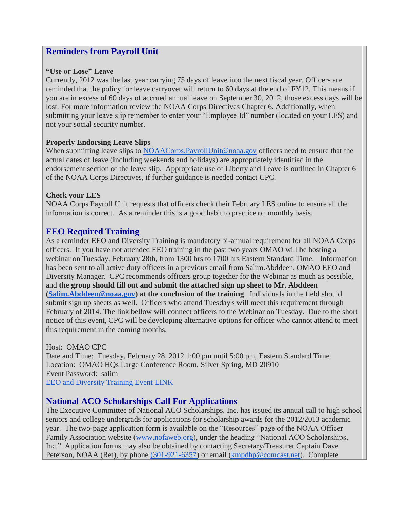# <span id="page-2-0"></span>**Reminders from Payroll Unit**

#### **"Use or Lose" Leave**

Currently, 2012 was the last year carrying 75 days of leave into the next fiscal year. Officers are reminded that the policy for leave carryover will return to 60 days at the end of FY12. This means if you are in excess of 60 days of accrued annual leave on September 30, 2012, those excess days will be lost. For more information review the NOAA Corps Directives Chapter 6. Additionally, when submitting your leave slip remember to enter your "Employee Id" number (located on your LES) and not your social security number.

#### **Properly Endorsing Leave Slips**

When submitting leave slips to NOAACorps. PayrollUnit@noaa.gov officers need to ensure that the actual dates of leave (including weekends and holidays) are appropriately identified in the endorsement section of the leave slip. Appropriate use of Liberty and Leave is outlined in Chapter 6 of the NOAA Corps Directives, if further guidance is needed contact CPC.

#### **Check your LES**

NOAA Corps Payroll Unit requests that officers check their February LES online to ensure all the information is correct. As a reminder this is a good habit to practice on monthly basis.

## <span id="page-2-1"></span>**EEO Required Training**

As a reminder EEO and Diversity Training is mandatory bi-annual requirement for all NOAA Corps officers. If you have not attended EEO training in the past two years OMAO will be hosting a webinar on Tuesday, February 28th, from 1300 hrs to 1700 hrs Eastern Standard Time. Information has been sent to all active duty officers in a previous email from Salim.Abddeen, OMAO EEO and Diversity Manager. CPC recommends officers group together for the Webinar as much as possible, and **the group should fill out and submit the attached sign up sheet to Mr. Abddeen [\(Salim.Abddeen@noaa.gov\)](mailto:Salim.Abddeen@noaa.gov) at the conclusion of the training**. Individuals in the field should submit sign up sheets as well. Officers who attend Tuesday's will meet this requirement through February of 2014. The link bellow will connect officers to the Webinar on Tuesday. Due to the short notice of this event, CPC will be developing alternative options for officer who cannot attend to meet this requirement in the coming months.

Host: OMAO CPC Date and Time: Tuesday, February 28, 2012 1:00 pm until 5:00 pm, Eastern Standard Time Location: OMAO HQs Large Conference Room, Silver Spring, MD 20910 Event Password: salim [EEO and Diversity Training Event LINK](https://omao-cpc.webex.com/omao-cpc/onstage/g.php?d=664507013&t=a&EA=salim.abddeen%40noaa.gov&ET=50d1148b06b1f69841f631c6bdd8253b&ETR=66a87c83183d627f5313e9e449551755&RT=MiMxMQ==&p)

# <span id="page-2-2"></span>**National ACO Scholarships Call For Applications**

The Executive Committee of National ACO Scholarships, Inc. has issued its annual call to high school seniors and college undergrads for applications for scholarship awards for the 2012/2013 academic year. The two-page application form is available on the "Resources" page of the NOAA Officer Family Association website [\(www.nofaweb.org\)](http://www.nofaweb.org/), under the heading "National ACO Scholarships, Inc." Application forms may also be obtained by contacting Secretary/Treasurer Captain Dave Peterson, NOAA (Ret), by phone [\(301-921-6357\)](tel:%28301-921-6357) or email [\(kmpdhp@comcast.net\)](mailto:kmpdhp@comcast.net). Complete